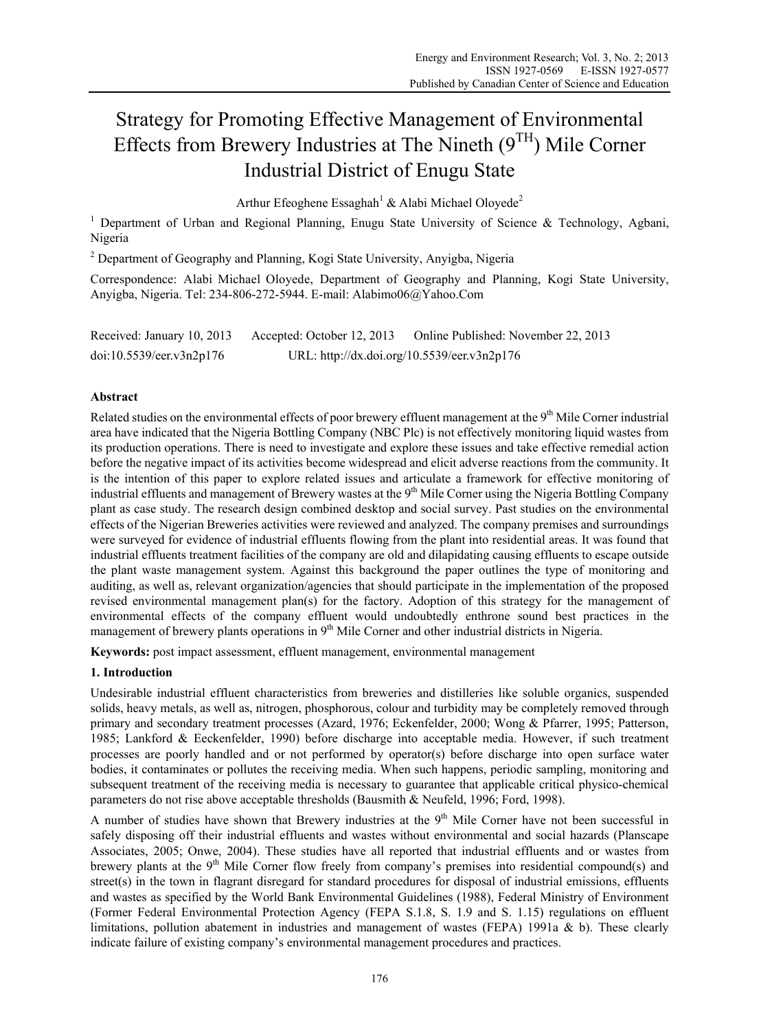# Strategy for Promoting Effective Management of Environmental Effects from Brewery Industries at The Nineth  $(9^{TH})$  Mile Corner Industrial District of Enugu State

Arthur Efeoghene Essaghah<sup>1</sup> & Alabi Michael Oloyede<sup>2</sup>

<sup>1</sup> Department of Urban and Regional Planning, Enugu State University of Science & Technology, Agbani, Nigeria

<sup>2</sup> Department of Geography and Planning, Kogi State University, Anyigba, Nigeria

Correspondence: Alabi Michael Oloyede, Department of Geography and Planning, Kogi State University, Anyigba, Nigeria. Tel: 234-806-272-5944. E-mail: Alabimo06@Yahoo.Com

Received: January 10, 2013 Accepted: October 12, 2013 Online Published: November 22, 2013 doi:10.5539/eer.v3n2p176 URL: http://dx.doi.org/10.5539/eer.v3n2p176

# **Abstract**

Related studies on the environmental effects of poor brewery effluent management at the 9<sup>th</sup> Mile Corner industrial area have indicated that the Nigeria Bottling Company (NBC Plc) is not effectively monitoring liquid wastes from its production operations. There is need to investigate and explore these issues and take effective remedial action before the negative impact of its activities become widespread and elicit adverse reactions from the community. It is the intention of this paper to explore related issues and articulate a framework for effective monitoring of industrial effluents and management of Brewery wastes at the  $9<sup>th</sup>$  Mile Corner using the Nigeria Bottling Company plant as case study. The research design combined desktop and social survey. Past studies on the environmental effects of the Nigerian Breweries activities were reviewed and analyzed. The company premises and surroundings were surveyed for evidence of industrial effluents flowing from the plant into residential areas. It was found that industrial effluents treatment facilities of the company are old and dilapidating causing effluents to escape outside the plant waste management system. Against this background the paper outlines the type of monitoring and auditing, as well as, relevant organization/agencies that should participate in the implementation of the proposed revised environmental management plan(s) for the factory. Adoption of this strategy for the management of environmental effects of the company effluent would undoubtedly enthrone sound best practices in the management of brewery plants operations in  $9<sup>th</sup>$  Mile Corner and other industrial districts in Nigeria.

**Keywords:** post impact assessment, effluent management, environmental management

#### **1. Introduction**

Undesirable industrial effluent characteristics from breweries and distilleries like soluble organics, suspended solids, heavy metals, as well as, nitrogen, phosphorous, colour and turbidity may be completely removed through primary and secondary treatment processes (Azard, 1976; Eckenfelder, 2000; Wong & Pfarrer, 1995; Patterson, 1985; Lankford & Eeckenfelder, 1990) before discharge into acceptable media. However, if such treatment processes are poorly handled and or not performed by operator(s) before discharge into open surface water bodies, it contaminates or pollutes the receiving media. When such happens, periodic sampling, monitoring and subsequent treatment of the receiving media is necessary to guarantee that applicable critical physico-chemical parameters do not rise above acceptable thresholds (Bausmith & Neufeld, 1996; Ford, 1998).

A number of studies have shown that Brewery industries at the  $9<sup>th</sup>$  Mile Corner have not been successful in safely disposing off their industrial effluents and wastes without environmental and social hazards (Planscape Associates, 2005; Onwe, 2004). These studies have all reported that industrial effluents and or wastes from brewery plants at the 9<sup>th</sup> Mile Corner flow freely from company's premises into residential compound(s) and street(s) in the town in flagrant disregard for standard procedures for disposal of industrial emissions, effluents and wastes as specified by the World Bank Environmental Guidelines (1988), Federal Ministry of Environment (Former Federal Environmental Protection Agency (FEPA S.1.8, S. 1.9 and S. 1.15) regulations on effluent limitations, pollution abatement in industries and management of wastes (FEPA) 1991a & b). These clearly indicate failure of existing company's environmental management procedures and practices.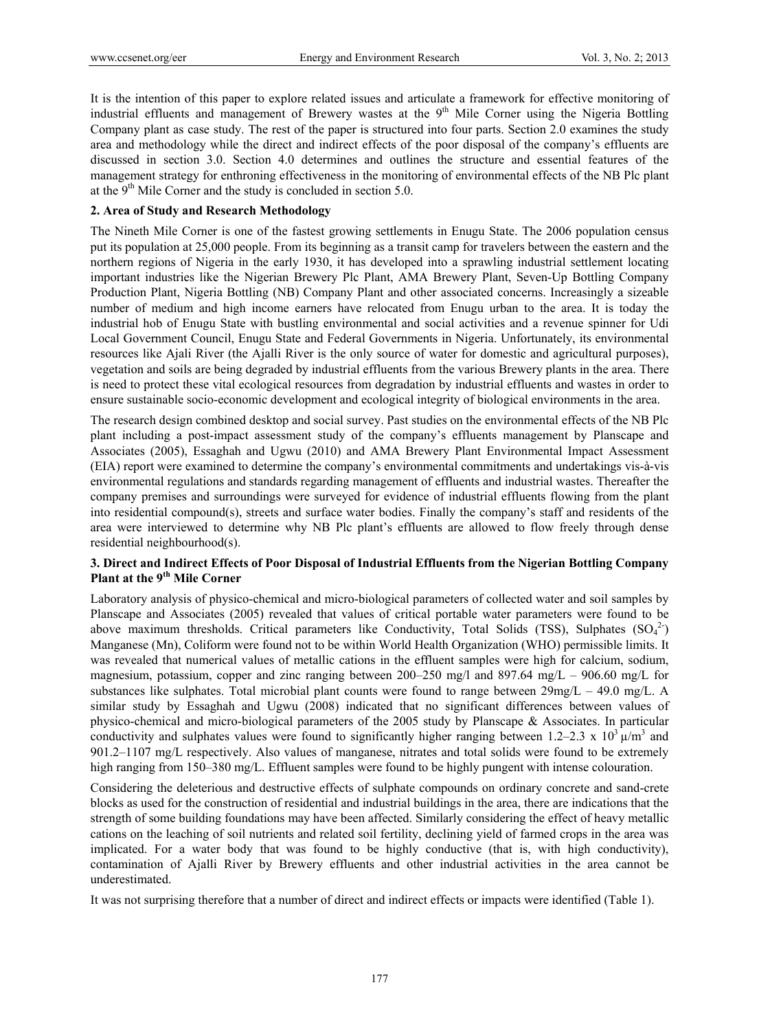It is the intention of this paper to explore related issues and articulate a framework for effective monitoring of industrial effluents and management of Brewery wastes at the  $9<sup>th</sup>$  Mile Corner using the Nigeria Bottling Company plant as case study. The rest of the paper is structured into four parts. Section 2.0 examines the study area and methodology while the direct and indirect effects of the poor disposal of the company's effluents are discussed in section 3.0. Section 4.0 determines and outlines the structure and essential features of the management strategy for enthroning effectiveness in the monitoring of environmental effects of the NB Plc plant at the 9th Mile Corner and the study is concluded in section 5.0.

#### **2. Area of Study and Research Methodology**

The Nineth Mile Corner is one of the fastest growing settlements in Enugu State. The 2006 population census put its population at 25,000 people. From its beginning as a transit camp for travelers between the eastern and the northern regions of Nigeria in the early 1930, it has developed into a sprawling industrial settlement locating important industries like the Nigerian Brewery Plc Plant, AMA Brewery Plant, Seven-Up Bottling Company Production Plant, Nigeria Bottling (NB) Company Plant and other associated concerns. Increasingly a sizeable number of medium and high income earners have relocated from Enugu urban to the area. It is today the industrial hob of Enugu State with bustling environmental and social activities and a revenue spinner for Udi Local Government Council, Enugu State and Federal Governments in Nigeria. Unfortunately, its environmental resources like Ajali River (the Ajalli River is the only source of water for domestic and agricultural purposes), vegetation and soils are being degraded by industrial effluents from the various Brewery plants in the area. There is need to protect these vital ecological resources from degradation by industrial effluents and wastes in order to ensure sustainable socio-economic development and ecological integrity of biological environments in the area.

The research design combined desktop and social survey. Past studies on the environmental effects of the NB Plc plant including a post-impact assessment study of the company's effluents management by Planscape and Associates (2005), Essaghah and Ugwu (2010) and AMA Brewery Plant Environmental Impact Assessment (EIA) report were examined to determine the company's environmental commitments and undertakings vis-à-vis environmental regulations and standards regarding management of effluents and industrial wastes. Thereafter the company premises and surroundings were surveyed for evidence of industrial effluents flowing from the plant into residential compound(s), streets and surface water bodies. Finally the company's staff and residents of the area were interviewed to determine why NB Plc plant's effluents are allowed to flow freely through dense residential neighbourhood(s).

# **3. Direct and Indirect Effects of Poor Disposal of Industrial Effluents from the Nigerian Bottling Company Plant at the 9th Mile Corner**

Laboratory analysis of physico-chemical and micro-biological parameters of collected water and soil samples by Planscape and Associates (2005) revealed that values of critical portable water parameters were found to be above maximum thresholds. Critical parameters like Conductivity, Total Solids (TSS), Sulphates  $(SO<sub>4</sub><sup>2</sup>)$ Manganese (Mn), Coliform were found not to be within World Health Organization (WHO) permissible limits. It was revealed that numerical values of metallic cations in the effluent samples were high for calcium, sodium, magnesium, potassium, copper and zinc ranging between 200–250 mg/l and 897.64 mg/L – 906.60 mg/L for substances like sulphates. Total microbial plant counts were found to range between 29mg/L – 49.0 mg/L. A similar study by Essaghah and Ugwu (2008) indicated that no significant differences between values of physico-chemical and micro-biological parameters of the 2005 study by Planscape & Associates. In particular conductivity and sulphates values were found to significantly higher ranging between 1.2–2.3 x  $10^3 \mu/m^3$  and 901.2–1107 mg/L respectively. Also values of manganese, nitrates and total solids were found to be extremely high ranging from 150–380 mg/L. Effluent samples were found to be highly pungent with intense colouration.

Considering the deleterious and destructive effects of sulphate compounds on ordinary concrete and sand-crete blocks as used for the construction of residential and industrial buildings in the area, there are indications that the strength of some building foundations may have been affected. Similarly considering the effect of heavy metallic cations on the leaching of soil nutrients and related soil fertility, declining yield of farmed crops in the area was implicated. For a water body that was found to be highly conductive (that is, with high conductivity), contamination of Ajalli River by Brewery effluents and other industrial activities in the area cannot be underestimated.

It was not surprising therefore that a number of direct and indirect effects or impacts were identified (Table 1).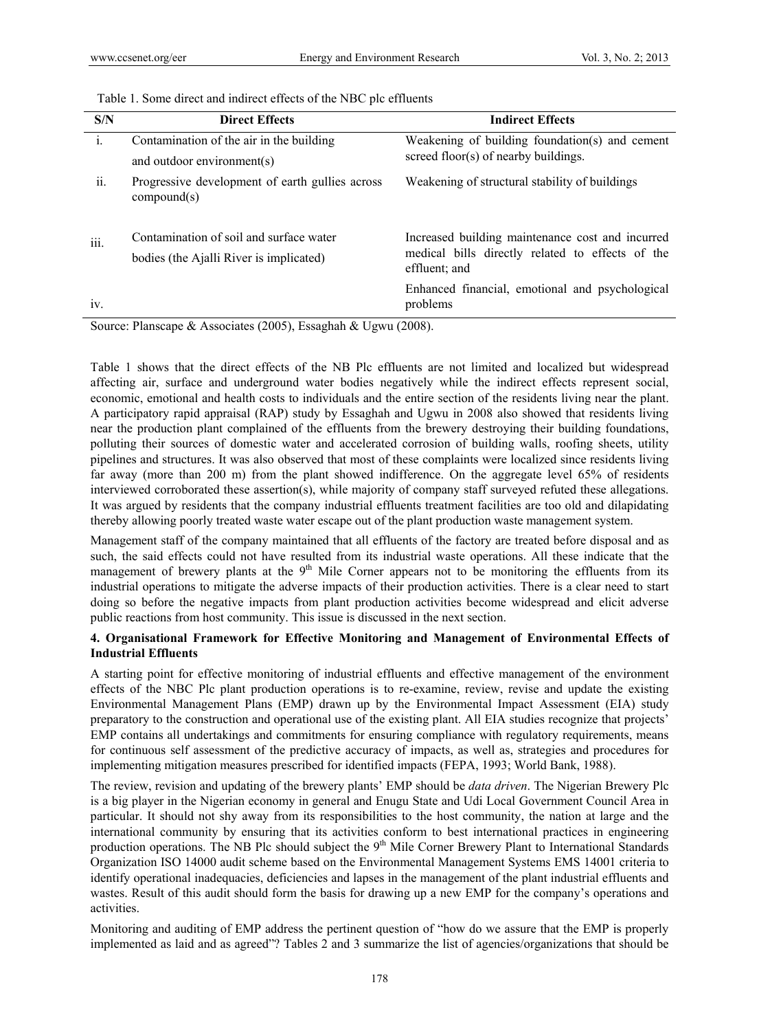| S/N             | <b>Direct Effects</b>                                          | <b>Indirect Effects</b>                                           |
|-----------------|----------------------------------------------------------------|-------------------------------------------------------------------|
| $\mathbf{i}$ .  | Contamination of the air in the building                       | Weakening of building foundation(s) and cement                    |
|                 | and outdoor environment(s)                                     | screed floor(s) of nearby buildings.                              |
| ii.             | Progressive development of earth gullies across<br>compound(s) | Weakening of structural stability of buildings                    |
| iii.            | Contamination of soil and surface water                        | Increased building maintenance cost and incurred                  |
|                 | bodies (the Ajalli River is implicated)                        | medical bills directly related to effects of the<br>effluent; and |
| 1V <sub>1</sub> |                                                                | Enhanced financial, emotional and psychological<br>problems       |
|                 |                                                                |                                                                   |

Table 1. Some direct and indirect effects of the NBC plc effluents

Source: Planscape & Associates (2005), Essaghah & Ugwu (2008).

Table 1 shows that the direct effects of the NB Plc effluents are not limited and localized but widespread affecting air, surface and underground water bodies negatively while the indirect effects represent social, economic, emotional and health costs to individuals and the entire section of the residents living near the plant. A participatory rapid appraisal (RAP) study by Essaghah and Ugwu in 2008 also showed that residents living near the production plant complained of the effluents from the brewery destroying their building foundations, polluting their sources of domestic water and accelerated corrosion of building walls, roofing sheets, utility pipelines and structures. It was also observed that most of these complaints were localized since residents living far away (more than 200 m) from the plant showed indifference. On the aggregate level 65% of residents interviewed corroborated these assertion(s), while majority of company staff surveyed refuted these allegations. It was argued by residents that the company industrial effluents treatment facilities are too old and dilapidating thereby allowing poorly treated waste water escape out of the plant production waste management system.

Management staff of the company maintained that all effluents of the factory are treated before disposal and as such, the said effects could not have resulted from its industrial waste operations. All these indicate that the management of brewery plants at the  $9<sup>th</sup>$  Mile Corner appears not to be monitoring the effluents from its industrial operations to mitigate the adverse impacts of their production activities. There is a clear need to start doing so before the negative impacts from plant production activities become widespread and elicit adverse public reactions from host community. This issue is discussed in the next section.

# **4. Organisational Framework for Effective Monitoring and Management of Environmental Effects of Industrial Effluents**

A starting point for effective monitoring of industrial effluents and effective management of the environment effects of the NBC Plc plant production operations is to re-examine, review, revise and update the existing Environmental Management Plans (EMP) drawn up by the Environmental Impact Assessment (EIA) study preparatory to the construction and operational use of the existing plant. All EIA studies recognize that projects' EMP contains all undertakings and commitments for ensuring compliance with regulatory requirements, means for continuous self assessment of the predictive accuracy of impacts, as well as, strategies and procedures for implementing mitigation measures prescribed for identified impacts (FEPA, 1993; World Bank, 1988).

The review, revision and updating of the brewery plants' EMP should be *data driven*. The Nigerian Brewery Plc is a big player in the Nigerian economy in general and Enugu State and Udi Local Government Council Area in particular. It should not shy away from its responsibilities to the host community, the nation at large and the international community by ensuring that its activities conform to best international practices in engineering production operations. The NB Plc should subject the 9<sup>th</sup> Mile Corner Brewery Plant to International Standards Organization ISO 14000 audit scheme based on the Environmental Management Systems EMS 14001 criteria to identify operational inadequacies, deficiencies and lapses in the management of the plant industrial effluents and wastes. Result of this audit should form the basis for drawing up a new EMP for the company's operations and activities.

Monitoring and auditing of EMP address the pertinent question of "how do we assure that the EMP is properly implemented as laid and as agreed"? Tables 2 and 3 summarize the list of agencies/organizations that should be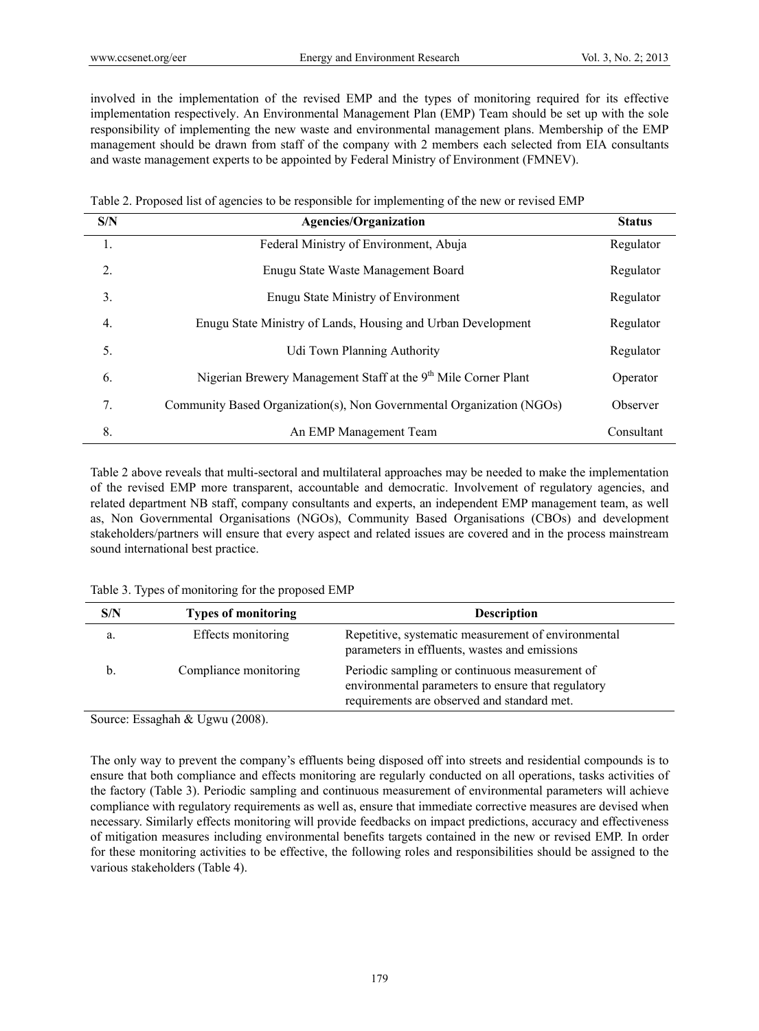involved in the implementation of the revised EMP and the types of monitoring required for its effective implementation respectively. An Environmental Management Plan (EMP) Team should be set up with the sole responsibility of implementing the new waste and environmental management plans. Membership of the EMP management should be drawn from staff of the company with 2 members each selected from EIA consultants and waste management experts to be appointed by Federal Ministry of Environment (FMNEV).

| Table 2. Proposed list of agencies to be responsible for implementing of the new or revised EMP |  |  |  |
|-------------------------------------------------------------------------------------------------|--|--|--|

| S/N         | <b>Agencies/Organization</b>                                               | <b>Status</b> |
|-------------|----------------------------------------------------------------------------|---------------|
| 1.          | Federal Ministry of Environment, Abuja                                     | Regulator     |
| 2.          | Enugu State Waste Management Board                                         | Regulator     |
| 3.          | Enugu State Ministry of Environment                                        | Regulator     |
| 4.          | Enugu State Ministry of Lands, Housing and Urban Development               | Regulator     |
| 5.          | Udi Town Planning Authority                                                | Regulator     |
| 6.          | Nigerian Brewery Management Staff at the 9 <sup>th</sup> Mile Corner Plant | Operator      |
| $7_{\cdot}$ | Community Based Organization(s), Non Governmental Organization (NGOs)      | Observer      |
| 8.          | An EMP Management Team                                                     | Consultant    |

Table 2 above reveals that multi-sectoral and multilateral approaches may be needed to make the implementation of the revised EMP more transparent, accountable and democratic. Involvement of regulatory agencies, and related department NB staff, company consultants and experts, an independent EMP management team, as well as, Non Governmental Organisations (NGOs), Community Based Organisations (CBOs) and development stakeholders/partners will ensure that every aspect and related issues are covered and in the process mainstream sound international best practice.

Table 3. Types of monitoring for the proposed EMP

| S/N | <b>Types of monitoring</b> | <b>Description</b>                                                                                                                                  |
|-----|----------------------------|-----------------------------------------------------------------------------------------------------------------------------------------------------|
| a.  | Effects monitoring         | Repetitive, systematic measurement of environmental<br>parameters in effluents, wastes and emissions                                                |
| b.  | Compliance monitoring      | Periodic sampling or continuous measurement of<br>environmental parameters to ensure that regulatory<br>requirements are observed and standard met. |

Source: Essaghah & Ugwu (2008).

The only way to prevent the company's effluents being disposed off into streets and residential compounds is to ensure that both compliance and effects monitoring are regularly conducted on all operations, tasks activities of the factory (Table 3). Periodic sampling and continuous measurement of environmental parameters will achieve compliance with regulatory requirements as well as, ensure that immediate corrective measures are devised when necessary. Similarly effects monitoring will provide feedbacks on impact predictions, accuracy and effectiveness of mitigation measures including environmental benefits targets contained in the new or revised EMP. In order for these monitoring activities to be effective, the following roles and responsibilities should be assigned to the various stakeholders (Table 4).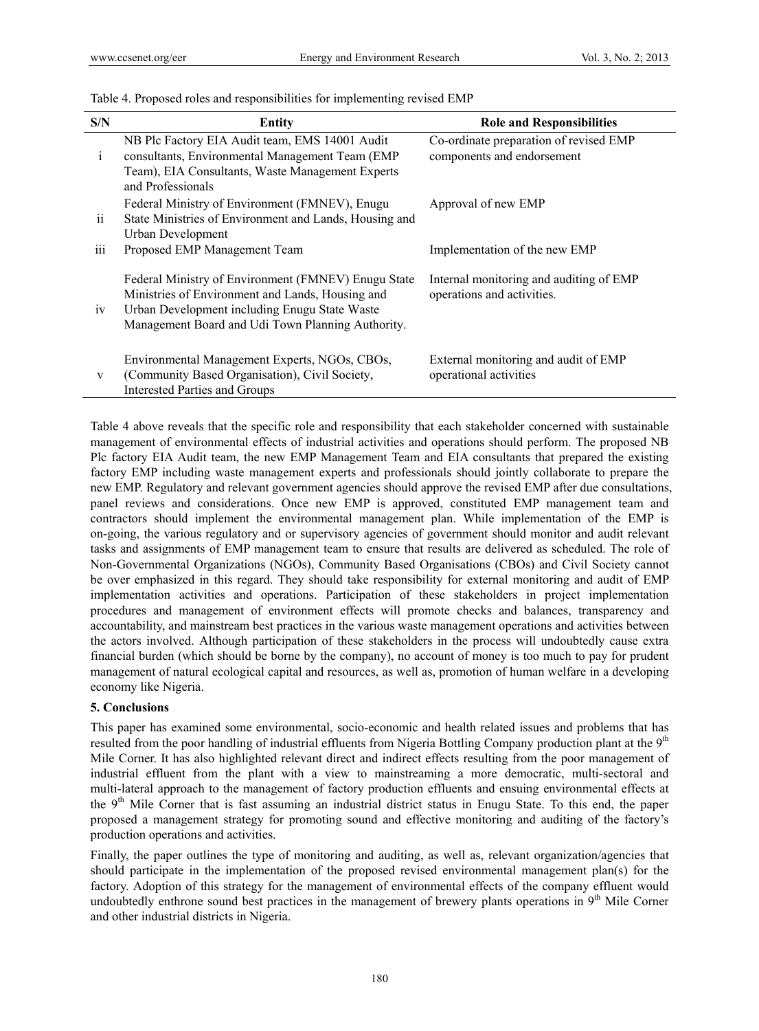| S/N          | <b>Entity</b>                                                                                                                                                                                                 | <b>Role and Responsibilities</b>                                      |
|--------------|---------------------------------------------------------------------------------------------------------------------------------------------------------------------------------------------------------------|-----------------------------------------------------------------------|
| $\mathbf{i}$ | NB Plc Factory EIA Audit team, EMS 14001 Audit<br>consultants, Environmental Management Team (EMP)<br>Team), EIA Consultants, Waste Management Experts<br>and Professionals                                   | Co-ordinate preparation of revised EMP<br>components and endorsement  |
| <i>ii</i>    | Federal Ministry of Environment (FMNEV), Enugu<br>State Ministries of Environment and Lands, Housing and<br>Urban Development                                                                                 | Approval of new EMP                                                   |
| iii          | Proposed EMP Management Team                                                                                                                                                                                  | Implementation of the new EMP                                         |
| iv           | Federal Ministry of Environment (FMNEV) Enugu State<br>Ministries of Environment and Lands, Housing and<br>Urban Development including Enugu State Waste<br>Management Board and Udi Town Planning Authority. | Internal monitoring and auditing of EMP<br>operations and activities. |
| V            | Environmental Management Experts, NGOs, CBOs,<br>(Community Based Organisation), Civil Society,<br><b>Interested Parties and Groups</b>                                                                       | External monitoring and audit of EMP<br>operational activities        |

Table 4. Proposed roles and responsibilities for implementing revised EMP

Table 4 above reveals that the specific role and responsibility that each stakeholder concerned with sustainable management of environmental effects of industrial activities and operations should perform. The proposed NB Plc factory EIA Audit team, the new EMP Management Team and EIA consultants that prepared the existing factory EMP including waste management experts and professionals should jointly collaborate to prepare the new EMP. Regulatory and relevant government agencies should approve the revised EMP after due consultations, panel reviews and considerations. Once new EMP is approved, constituted EMP management team and contractors should implement the environmental management plan. While implementation of the EMP is on-going, the various regulatory and or supervisory agencies of government should monitor and audit relevant tasks and assignments of EMP management team to ensure that results are delivered as scheduled. The role of Non-Governmental Organizations (NGOs), Community Based Organisations (CBOs) and Civil Society cannot be over emphasized in this regard. They should take responsibility for external monitoring and audit of EMP implementation activities and operations. Participation of these stakeholders in project implementation procedures and management of environment effects will promote checks and balances, transparency and accountability, and mainstream best practices in the various waste management operations and activities between the actors involved. Although participation of these stakeholders in the process will undoubtedly cause extra financial burden (which should be borne by the company), no account of money is too much to pay for prudent management of natural ecological capital and resources, as well as, promotion of human welfare in a developing economy like Nigeria.

#### **5. Conclusions**

This paper has examined some environmental, socio-economic and health related issues and problems that has resulted from the poor handling of industrial effluents from Nigeria Bottling Company production plant at the 9<sup>th</sup> Mile Corner. It has also highlighted relevant direct and indirect effects resulting from the poor management of industrial effluent from the plant with a view to mainstreaming a more democratic, multi-sectoral and multi-lateral approach to the management of factory production effluents and ensuing environmental effects at the 9<sup>th</sup> Mile Corner that is fast assuming an industrial district status in Enugu State. To this end, the paper proposed a management strategy for promoting sound and effective monitoring and auditing of the factory's production operations and activities.

Finally, the paper outlines the type of monitoring and auditing, as well as, relevant organization/agencies that should participate in the implementation of the proposed revised environmental management plan(s) for the factory. Adoption of this strategy for the management of environmental effects of the company effluent would undoubtedly enthrone sound best practices in the management of brewery plants operations in  $9<sup>th</sup>$  Mile Corner and other industrial districts in Nigeria.